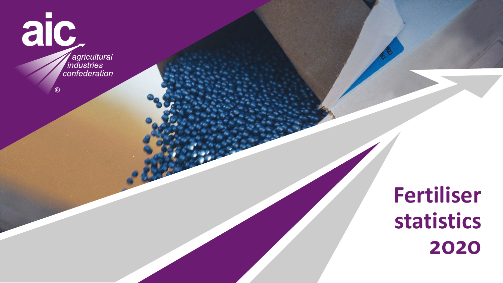

 $\circledR$ 

*A* agricultural<br>
industries<br>
confederation

# **Fertiliser statistics 2020**

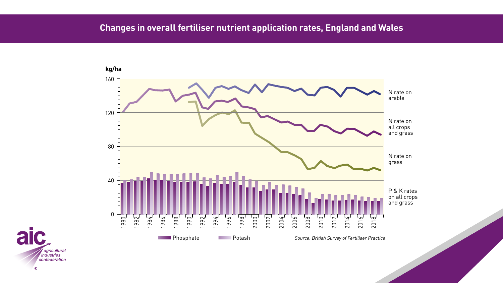





# **Changes in overall fertiliser nutrient application rates, England and Wales**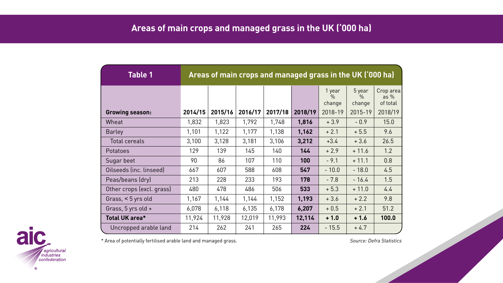| <b>Table 1</b>            | Areas of main crops and managed grass in the UK ('000 ha) |         |         |         |         |                          |                                   |                                 |
|---------------------------|-----------------------------------------------------------|---------|---------|---------|---------|--------------------------|-----------------------------------|---------------------------------|
|                           |                                                           |         |         |         |         | 1 year<br>$\%$<br>change | 5 year<br>$\frac{0}{0}$<br>change | Crop area<br>as $%$<br>of total |
| <b>Growing season:</b>    | 2014/15                                                   | 2015/16 | 2016/17 | 2017/18 | 2018/19 | 2018-19                  | 2015-19                           | 2018/19                         |
| Wheat                     | 1,832                                                     | 1,823   | 1,792   | 1,748   | 1,816   | $+3.9$                   | $-0.9$                            | 15.0                            |
| <b>Barley</b>             | 1,101                                                     | 1,122   | 1,177   | 1,138   | 1,162   | $+2.1$                   | $+5.5$                            | 9.6                             |
| <b>Total cereals</b>      | 3,100                                                     | 3,128   | 3,181   | 3,106   | 3,212   | $+3.4$                   | $+3.6$                            | 26.5                            |
| Potatoes                  | 129                                                       | 139     | 145     | 140     | 144     | $+2.9$                   | $+11.6$                           | 1.2                             |
| Sugar beet                | 90                                                        | 86      | 107     | 110     | 100     | $-9.1$                   | $+11.1$                           | 0.8                             |
| Oilseeds (inc. linseed)   | 667                                                       | 607     | 588     | 608     | 547     | $-10.0$                  | $-18.0$                           | 4.5                             |
| Peas/beans (dry)          | 213                                                       | 228     | 233     | 193     | 178     | $-7.8$                   | $-16.4$                           | 1.5                             |
| Other crops (excl. grass) | 480                                                       | 478     | 486     | 506     | 533     | $+5.3$                   | $+11.0$                           | 4.4                             |
| Grass, < 5 yrs old        | 1,167                                                     | 1,144   | 1,144   | 1,152   | 1,193   | $+3.6$                   | $+2.2$                            | 9.8                             |
| Grass, 5 yrs old +        | 6,078                                                     | 6,118   | 6,135   | 6,178   | 6,207   | $+0.5$                   | $+2.1$                            | 51.2                            |
| Total UK area*            | 11,924                                                    | 11,928  | 12,019  | 11,993  | 12,114  | $+1.0$                   | $+1.6$                            | 100.0                           |
| Uncropped arable land     | 214                                                       | 262     | 241     | 265     | 224     | $-15.5$                  | $+4.7$                            |                                 |

\* Area of potentially fertilised arable land and managed grass. Source: Defra Statistics Source: Defra Statistics



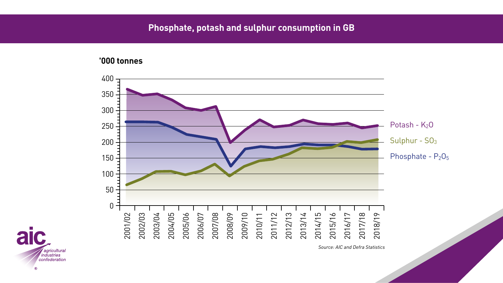### **'000 tonnes**







# **Phosphate, potash and sulphur consumption in GB**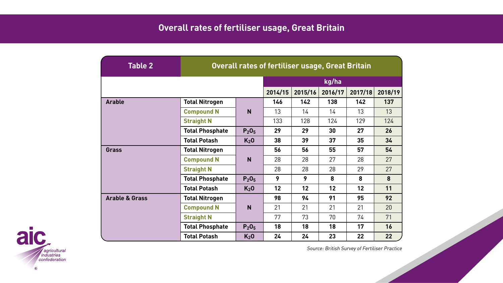Source: British Survey of Fertiliser Practice



| <b>Table 2</b>            | Overall rates of fertiliser usage, Great Britain |                               |         |         |         |         |         |  |
|---------------------------|--------------------------------------------------|-------------------------------|---------|---------|---------|---------|---------|--|
|                           |                                                  |                               | kg/ha   |         |         |         |         |  |
|                           |                                                  |                               | 2014/15 | 2015/16 | 2016/17 | 2017/18 | 2018/19 |  |
| <b>Arable</b>             | <b>Total Nitrogen</b>                            |                               | 146     | 142     | 138     | 142     | 137     |  |
|                           | <b>Compound N</b>                                | N                             | 13      | 14      | 14      | 13      | 13      |  |
|                           | <b>Straight N</b>                                |                               | 133     | 128     | 124     | 129     | 124     |  |
|                           | <b>Total Phosphate</b>                           | P <sub>2</sub> O <sub>5</sub> | 29      | 29      | 30      | 27      | 26      |  |
|                           | <b>Total Potash</b>                              | K <sub>2</sub> 0              | 38      | 39      | 37      | 35      | 34      |  |
| Grass                     | <b>Total Nitrogen</b>                            | N                             | 56      | 56      | 55      | 57      | 54      |  |
|                           | <b>Compound N</b>                                |                               | 28      | 28      | 27      | 28      | 27      |  |
|                           | <b>Straight N</b>                                |                               | 28      | 28      | 28      | 29      | 27      |  |
|                           | <b>Total Phosphate</b>                           | $P_2O_5$                      | 9       | 9       | 8       | 8       | 8       |  |
|                           | <b>Total Potash</b>                              | K <sub>2</sub> 0              | 12      | 12      | 12      | 12      | 11      |  |
| <b>Arable &amp; Grass</b> | <b>Total Nitrogen</b>                            |                               | 98      | 94      | 91      | 95      | 92      |  |
|                           | <b>Compound N</b>                                | N                             | 21      | 21      | 21      | 21      | 20      |  |
|                           | <b>Straight N</b>                                |                               | 77      | 73      | 70      | 74      | 71      |  |
|                           | <b>Total Phosphate</b>                           | P <sub>2</sub> O <sub>5</sub> | 18      | 18      | 18      | 17      | 16      |  |
|                           | <b>Total Potash</b>                              | $K_2$ O                       | 24      | 24      | 23      | 22      | 22      |  |

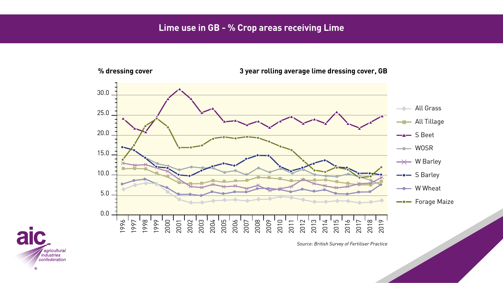### **3 year rolling average lime dressing cover, GB**





### **% dressing cover**

Source: British Survey of Fertiliser Practice



### **Lime use in GB - % Crop areas receiving Lime**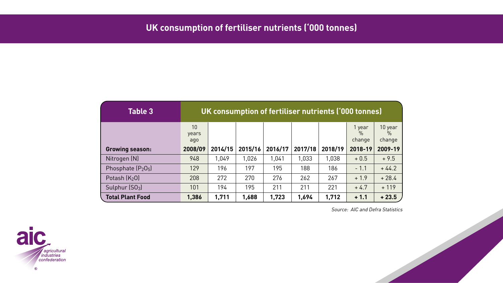Source: AIC and Defra Statistics



| <b>Table 3</b>          | UK consumption of fertiliser nutrients ('000 tonnes) |         |         |         |         |         |                                   |                                    |
|-------------------------|------------------------------------------------------|---------|---------|---------|---------|---------|-----------------------------------|------------------------------------|
|                         | 10<br>years<br>ago                                   |         |         |         |         |         | 1 year<br>$\frac{0}{0}$<br>change | 10 year<br>$\frac{0}{0}$<br>change |
| <b>Growing season:</b>  | 2008/09                                              | 2014/15 | 2015/16 | 2016/17 | 2017/18 | 2018/19 | 2018-19                           | 2009-19                            |
| Nitrogen (N)            | 948                                                  | 1,049   | 1,026   | 1,041   | 1,033   | 1,038   | $+0.5$                            | $+9.5$                             |
| Phosphate $(P_2O_5)$    | 129                                                  | 196     | 197     | 195     | 188     | 186     | $-1.1$                            | $+44.2$                            |
| Potash $(K_2O)$         | 208                                                  | 272     | 270     | 276     | 262     | 267     | $+1.9$                            | $+28.4$                            |
| Sulphur $[SO_3]$        | 101                                                  | 194     | 195     | 211     | 211     | 221     | $+4.7$                            | $+119$                             |
| <b>Total Plant Food</b> | 1,386                                                | 1,711   | 1,688   | 1,723   | 1,694   | 1,712   | $+1.1$                            | $+23.5$                            |



# **UK consumption of fertiliser nutrients ('000 tonnes)**